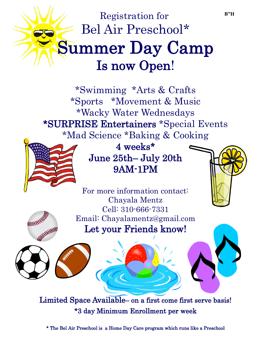## Registration for Bel Air Preschool\* Summer Day Camp Is now Open!

\*Swimming \*Arts & Crafts \*Sports \*Movement & Music \*Wacky Water Wednesdays \*SURPRISE Entertainers \*Special Events \*Mad Science \*Baking & Cooking



WINNER REFERE

4 weeks\* June 25th– July 20th 9AM-1PM

For more information contact: Chayala Mentz Cell: 310-666-7331 Email: Chayalamentz@gmail.com Let your Friends know!

l

Limited Space Available– on a first come first serve basis! \*3 day Minimum Enrollment per week

\* The Bel Air Preschool is a Home Day Care program which runs like a Preschool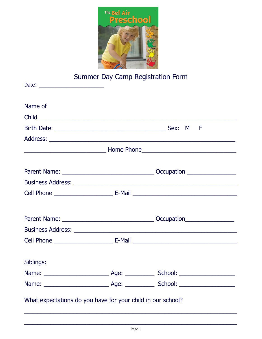

## Summer Day Camp Registration Form

| Name of                                                     |  |
|-------------------------------------------------------------|--|
|                                                             |  |
|                                                             |  |
|                                                             |  |
|                                                             |  |
|                                                             |  |
|                                                             |  |
|                                                             |  |
|                                                             |  |
|                                                             |  |
|                                                             |  |
| Siblings:                                                   |  |
|                                                             |  |
|                                                             |  |
| What expectations do you have for your child in our school? |  |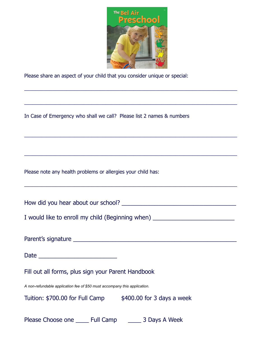

\_\_\_\_\_\_\_\_\_\_\_\_\_\_\_\_\_\_\_\_\_\_\_\_\_\_\_\_\_\_\_\_\_\_\_\_\_\_\_\_\_\_\_\_\_\_\_\_\_\_\_\_\_\_\_\_\_\_\_\_\_\_\_\_\_\_\_\_\_\_\_\_\_\_\_\_

\_\_\_\_\_\_\_\_\_\_\_\_\_\_\_\_\_\_\_\_\_\_\_\_\_\_\_\_\_\_\_\_\_\_\_\_\_\_\_\_\_\_\_\_\_\_\_\_\_\_\_\_\_\_\_\_\_\_\_\_\_\_\_\_\_\_\_\_\_\_\_\_\_\_\_\_

\_\_\_\_\_\_\_\_\_\_\_\_\_\_\_\_\_\_\_\_\_\_\_\_\_\_\_\_\_\_\_\_\_\_\_\_\_\_\_\_\_\_\_\_\_\_\_\_\_\_\_\_\_\_\_\_\_\_\_\_\_\_\_\_\_\_\_\_\_\_\_\_\_\_\_\_

\_\_\_\_\_\_\_\_\_\_\_\_\_\_\_\_\_\_\_\_\_\_\_\_\_\_\_\_\_\_\_\_\_\_\_\_\_\_\_\_\_\_\_\_\_\_\_\_\_\_\_\_\_\_\_\_\_\_\_\_\_\_\_\_\_\_\_\_\_\_\_\_\_\_\_\_

\_\_\_\_\_\_\_\_\_\_\_\_\_\_\_\_\_\_\_\_\_\_\_\_\_\_\_\_\_\_\_\_\_\_\_\_\_\_\_\_\_\_\_\_\_\_\_\_\_\_\_\_\_\_\_\_\_\_\_\_\_\_\_\_\_\_\_\_\_\_\_\_\_\_\_\_

Please share an aspect of your child that you consider unique or special:

In Case of Emergency who shall we call? Please list 2 names & numbers

Please note any health problems or allergies your child has:

How did you hear about our school? \_\_\_\_\_\_\_\_\_\_\_\_\_\_\_\_\_\_\_\_\_\_\_\_\_\_\_\_\_\_\_\_\_\_\_

I would like to enroll my child (Beginning when) \_\_\_\_\_\_\_\_\_\_\_\_\_\_\_\_\_\_\_\_\_\_\_\_\_\_\_\_\_\_\_

Parent's signature \_\_\_\_\_\_\_\_\_\_\_\_\_\_\_\_\_\_\_\_\_\_\_\_\_\_\_\_\_\_\_\_\_\_\_\_\_\_\_\_\_\_\_\_\_\_\_\_\_\_

Date \_\_\_\_\_\_\_\_\_\_\_\_\_\_\_\_\_\_\_\_\_\_\_\_

Fill out all forms, plus sign your Parent Handbook

*A non-refundable application fee of \$50 must accompany this application.* 

Tuition:  $$700.00$  for Full Camp  $$400.00$  for 3 days a week

Please Choose one Later Full Camp 2 Days A Week